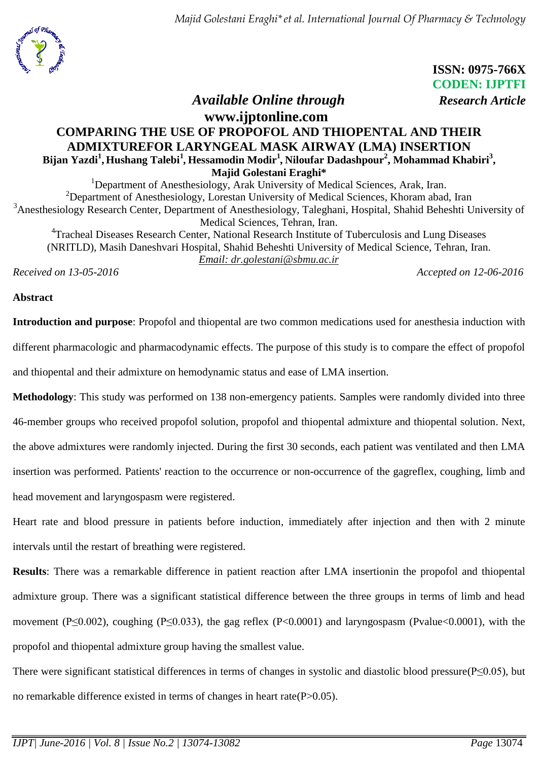*Majid Golestani Eraghi\*et al. International Journal Of Pharmacy & Technology*



 **ISSN: 0975-766X CODEN: IJPTFI**  *Available Online through Research Article*

# **www.ijptonline.com COMPARING THE USE OF PROPOFOL AND THIOPENTAL AND THEIR ADMIXTUREFOR LARYNGEAL MASK AIRWAY (LMA) INSERTION Bijan Yazdi<sup>1</sup> , Hushang Talebi<sup>1</sup>** *,* **Hessamodin Modir<sup>1</sup>** *,* **Niloufar Dadashpour<sup>2</sup> , Mohammad Khabiri<sup>3</sup> , Majid Golestani Eraghi\***

<sup>1</sup>Department of Anesthesiology, Arak University of Medical Sciences, Arak, Iran. <sup>2</sup>Department of Anesthesiology, Lorestan University of Medical Sciences, Khoram abad, Iran <sup>3</sup>Anesthesiology Research Center, Department of Anesthesiology, Taleghani, Hospital, Shahid Beheshti University of Medical Sciences, Tehran, Iran. <sup>4</sup>Tracheal Diseases Research Center, National Research Institute of Tuberculosis and Lung Diseases (NRITLD), Masih Daneshvari Hospital, Shahid Beheshti University of Medical Science, Tehran, Iran. *Email: [dr.golestani@sbmu.ac.ir](mailto:dr.golestani@sbmu.ac.ir)*

*Received on 13-05-2016 Accepted on 12-06-2016*

## **Abstract**

**Introduction and purpose**: Propofol and thiopental are two common medications used for anesthesia induction with different pharmacologic and pharmacodynamic effects. The purpose of this study is to compare the effect of propofol and thiopental and their admixture on hemodynamic status and ease of LMA insertion.

**Methodology**: This study was performed on 138 non-emergency patients. Samples were randomly divided into three 46-member groups who received propofol solution, propofol and thiopental admixture and thiopental solution. Next, the above admixtures were randomly injected. During the first 30 seconds, each patient was ventilated and then LMA insertion was performed. Patients' reaction to the occurrence or non-occurrence of the gagreflex, coughing, limb and head movement and laryngospasm were registered.

Heart rate and blood pressure in patients before induction, immediately after injection and then with 2 minute intervals until the restart of breathing were registered.

**Results**: There was a remarkable difference in patient reaction after LMA insertionin the propofol and thiopental admixture group. There was a significant statistical difference between the three groups in terms of limb and head movement (P≤0.002), coughing (P≤0.033), the gag reflex (P<0.0001) and laryngospasm (Pvalue<0.0001), with the propofol and thiopental admixture group having the smallest value.

There were significant statistical differences in terms of changes in systolic and diastolic blood pressure(P≤0.05), but no remarkable difference existed in terms of changes in heart rate(P>0.05).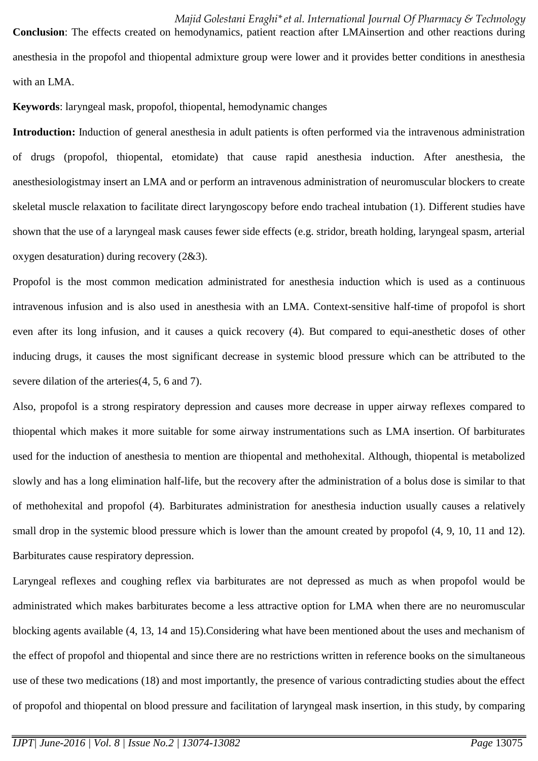**Conclusion**: The effects created on hemodynamics, patient reaction after LMAinsertion and other reactions during anesthesia in the propofol and thiopental admixture group were lower and it provides better conditions in anesthesia with an LMA.

**Keywords**: laryngeal mask, propofol, thiopental, hemodynamic changes

**Introduction:** Induction of general anesthesia in adult patients is often performed via the intravenous administration of drugs (propofol, thiopental, etomidate) that cause rapid anesthesia induction. After anesthesia, the anesthesiologistmay insert an LMA and or perform an intravenous administration of neuromuscular blockers to create skeletal muscle relaxation to facilitate direct laryngoscopy before endo tracheal intubation (1). Different studies have shown that the use of a laryngeal mask causes fewer side effects (e.g. stridor, breath holding, laryngeal spasm, arterial oxygen desaturation) during recovery (2&3).

Propofol is the most common medication administrated for anesthesia induction which is used as a continuous intravenous infusion and is also used in anesthesia with an LMA. Context-sensitive half-time of propofol is short even after its long infusion, and it causes a quick recovery (4). But compared to equi-anesthetic doses of other inducing drugs, it causes the most significant decrease in systemic blood pressure which can be attributed to the severe dilation of the arteries(4, 5, 6 and 7).

Also, propofol is a strong respiratory depression and causes more decrease in upper airway reflexes compared to thiopental which makes it more suitable for some airway instrumentations such as LMA insertion. Of barbiturates used for the induction of anesthesia to mention are thiopental and methohexital. Although, thiopental is metabolized slowly and has a long elimination half-life, but the recovery after the administration of a bolus dose is similar to that of methohexital and propofol (4). Barbiturates administration for anesthesia induction usually causes a relatively small drop in the systemic blood pressure which is lower than the amount created by propofol  $(4, 9, 10, 11, 12)$ . Barbiturates cause respiratory depression.

Laryngeal reflexes and coughing reflex via barbiturates are not depressed as much as when propofol would be administrated which makes barbiturates become a less attractive option for LMA when there are no neuromuscular blocking agents available (4, 13, 14 and 15).Considering what have been mentioned about the uses and mechanism of the effect of propofol and thiopental and since there are no restrictions written in reference books on the simultaneous use of these two medications (18) and most importantly, the presence of various contradicting studies about the effect of propofol and thiopental on blood pressure and facilitation of laryngeal mask insertion, in this study, by comparing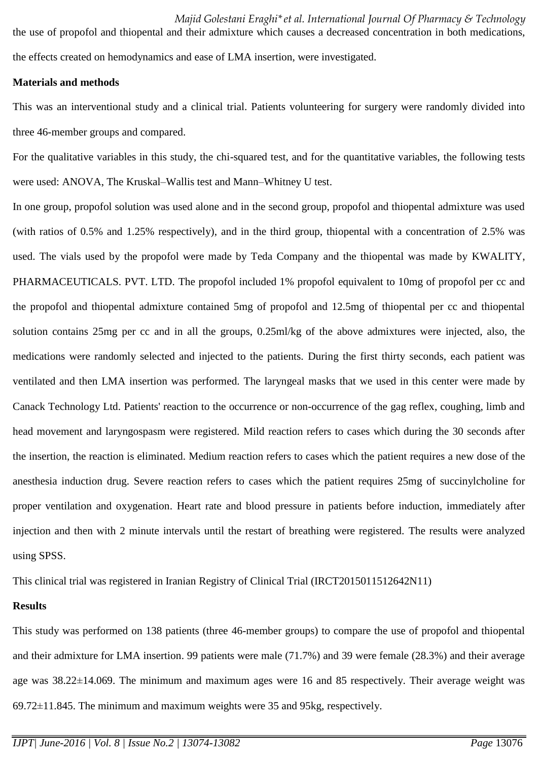*Majid Golestani Eraghi\*et al. International Journal Of Pharmacy & Technology*

the use of propofol and thiopental and their admixture which causes a decreased concentration in both medications, the effects created on hemodynamics and ease of LMA insertion, were investigated.

### **Materials and methods**

This was an interventional study and a clinical trial. Patients volunteering for surgery were randomly divided into three 46-member groups and compared.

For the qualitative variables in this study, the chi-squared test, and for the quantitative variables, the following tests were used: ANOVA, The Kruskal–Wallis test and Mann–Whitney U test.

In one group, propofol solution was used alone and in the second group, propofol and thiopental admixture was used (with ratios of 0.5% and 1.25% respectively), and in the third group, thiopental with a concentration of 2.5% was used. The vials used by the propofol were made by Teda Company and the thiopental was made by KWALITY, PHARMACEUTICALS. PVT. LTD. The propofol included 1% propofol equivalent to 10mg of propofol per cc and the propofol and thiopental admixture contained 5mg of propofol and 12.5mg of thiopental per cc and thiopental solution contains 25mg per cc and in all the groups, 0.25ml/kg of the above admixtures were injected, also, the medications were randomly selected and injected to the patients. During the first thirty seconds, each patient was ventilated and then LMA insertion was performed. The laryngeal masks that we used in this center were made by Canack Technology Ltd. Patients' reaction to the occurrence or non-occurrence of the gag reflex, coughing, limb and head movement and laryngospasm were registered. Mild reaction refers to cases which during the 30 seconds after the insertion, the reaction is eliminated. Medium reaction refers to cases which the patient requires a new dose of the anesthesia induction drug. Severe reaction refers to cases which the patient requires 25mg of succinylcholine for proper ventilation and oxygenation. Heart rate and blood pressure in patients before induction, immediately after injection and then with 2 minute intervals until the restart of breathing were registered. The results were analyzed using SPSS.

This clinical trial was registered in Iranian Registry of Clinical Trial (IRCT2015011512642N11)

## **Results**

This study was performed on 138 patients (three 46-member groups) to compare the use of propofol and thiopental and their admixture for LMA insertion. 99 patients were male (71.7%) and 39 were female (28.3%) and their average age was 38.22±14.069. The minimum and maximum ages were 16 and 85 respectively. Their average weight was 69.72±11.845. The minimum and maximum weights were 35 and 95kg, respectively.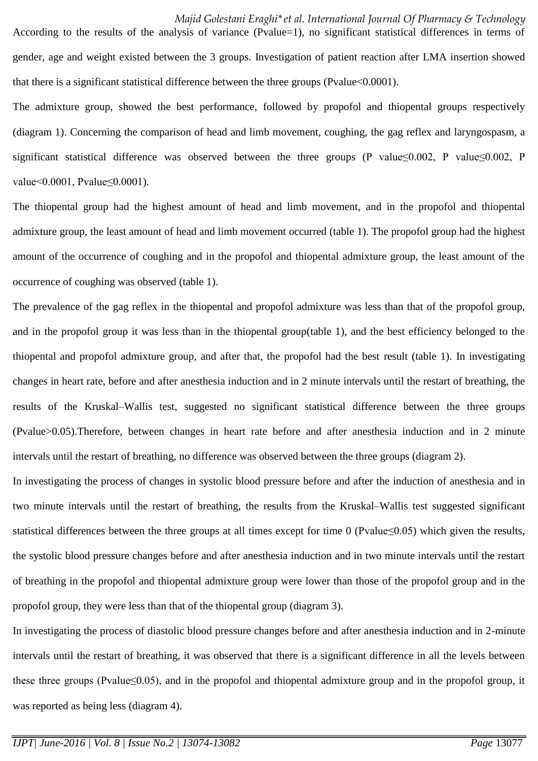According to the results of the analysis of variance (Pvalue=1), no significant statistical differences in terms of gender, age and weight existed between the 3 groups. Investigation of patient reaction after LMA insertion showed that there is a significant statistical difference between the three groups (Pvalue<0.0001).

The admixture group, showed the best performance, followed by propofol and thiopental groups respectively (diagram 1). Concerning the comparison of head and limb movement, coughing, the gag reflex and laryngospasm, a significant statistical difference was observed between the three groups (P value≤0.002, P value≤0.002, P value<0.0001, Pvalue≤0.0001).

The thiopental group had the highest amount of head and limb movement, and in the propofol and thiopental admixture group, the least amount of head and limb movement occurred (table 1). The propofol group had the highest amount of the occurrence of coughing and in the propofol and thiopental admixture group, the least amount of the occurrence of coughing was observed (table 1).

The prevalence of the gag reflex in the thiopental and propofol admixture was less than that of the propofol group, and in the propofol group it was less than in the thiopental group(table 1), and the best efficiency belonged to the thiopental and propofol admixture group, and after that, the propofol had the best result (table 1). In investigating changes in heart rate, before and after anesthesia induction and in 2 minute intervals until the restart of breathing, the results of the Kruskal–Wallis test, suggested no significant statistical difference between the three groups (Pvalue>0.05).Therefore, between changes in heart rate before and after anesthesia induction and in 2 minute intervals until the restart of breathing, no difference was observed between the three groups (diagram 2).

In investigating the process of changes in systolic blood pressure before and after the induction of anesthesia and in two minute intervals until the restart of breathing, the results from the Kruskal–Wallis test suggested significant statistical differences between the three groups at all times except for time 0 (Pvalue≤0.05) which given the results, the systolic blood pressure changes before and after anesthesia induction and in two minute intervals until the restart of breathing in the propofol and thiopental admixture group were lower than those of the propofol group and in the propofol group, they were less than that of the thiopental group (diagram 3).

In investigating the process of diastolic blood pressure changes before and after anesthesia induction and in 2-minute intervals until the restart of breathing, it was observed that there is a significant difference in all the levels between these three groups (Pvalue≤0.05), and in the propofol and thiopental admixture group and in the propofol group, it was reported as being less (diagram 4).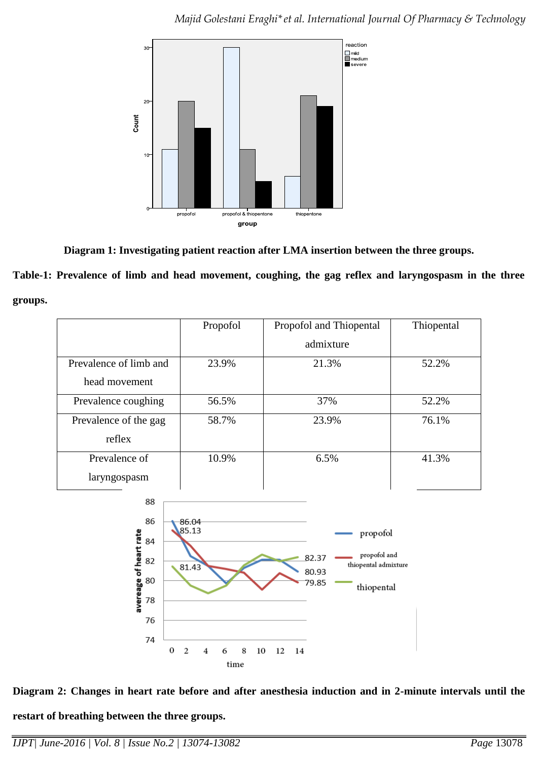

**Diagram 1: Investigating patient reaction after LMA insertion between the three groups.**

**Table-1: Prevalence of limb and head movement, coughing, the gag reflex and laryngospasm in the three groups.**

|                        | Propofol | Propofol and Thiopental | Thiopental |
|------------------------|----------|-------------------------|------------|
|                        |          | admixture               |            |
| Prevalence of limb and | 23.9%    | 21.3%                   | 52.2%      |
| head movement          |          |                         |            |
| Prevalence coughing    | 56.5%    | 37%                     | 52.2%      |
| Prevalence of the gag  | 58.7%    | 23.9%                   | 76.1%      |
| reflex                 |          |                         |            |
| Prevalence of          | 10.9%    | 6.5%                    | 41.3%      |
| laryngospasm           |          |                         |            |
| 88                     |          |                         |            |
| 86                     | 86.04    |                         |            |
| rate<br>84             | 85.13    | propofol                |            |



**Diagram 2: Changes in heart rate before and after anesthesia induction and in 2-minute intervals until the** 

**restart of breathing between the three groups.**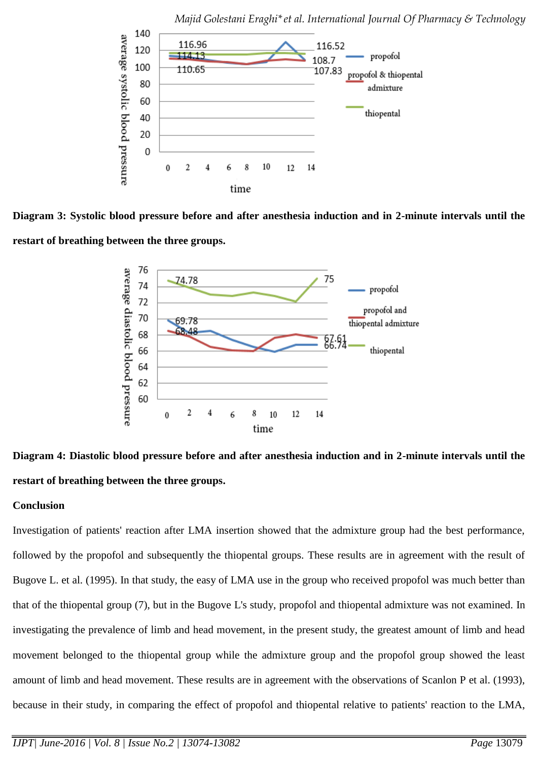

**Diagram 3: Systolic blood pressure before and after anesthesia induction and in 2-minute intervals until the restart of breathing between the three groups.**





## **Conclusion**

Investigation of patients' reaction after LMA insertion showed that the admixture group had the best performance, followed by the propofol and subsequently the thiopental groups. These results are in agreement with the result of Bugove L. et al. (1995). In that study, the easy of LMA use in the group who received propofol was much better than that of the thiopental group (7), but in the Bugove L's study, propofol and thiopental admixture was not examined. In investigating the prevalence of limb and head movement, in the present study, the greatest amount of limb and head movement belonged to the thiopental group while the admixture group and the propofol group showed the least amount of limb and head movement. These results are in agreement with the observations of Scanlon P et al. (1993), because in their study, in comparing the effect of propofol and thiopental relative to patients' reaction to the LMA,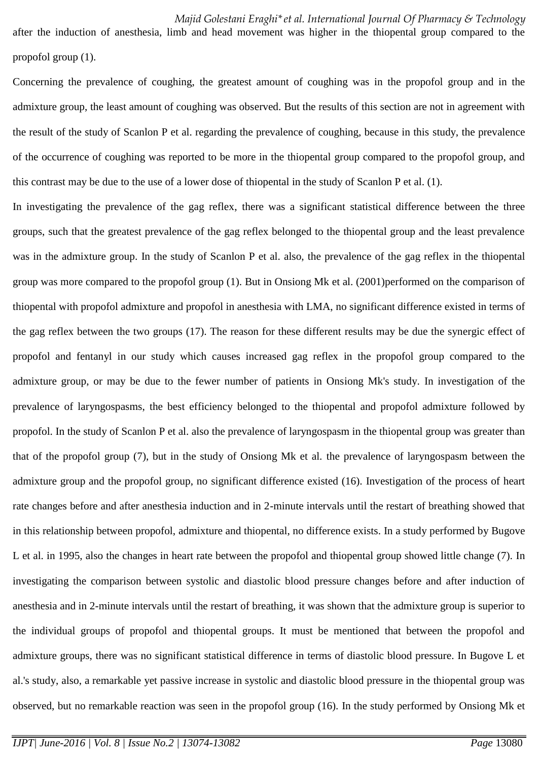after the induction of anesthesia, limb and head movement was higher in the thiopental group compared to the propofol group (1).

Concerning the prevalence of coughing, the greatest amount of coughing was in the propofol group and in the admixture group, the least amount of coughing was observed. But the results of this section are not in agreement with the result of the study of Scanlon P et al. regarding the prevalence of coughing, because in this study, the prevalence of the occurrence of coughing was reported to be more in the thiopental group compared to the propofol group, and this contrast may be due to the use of a lower dose of thiopental in the study of Scanlon P et al. (1).

In investigating the prevalence of the gag reflex, there was a significant statistical difference between the three groups, such that the greatest prevalence of the gag reflex belonged to the thiopental group and the least prevalence was in the admixture group. In the study of Scanlon P et al. also, the prevalence of the gag reflex in the thiopental group was more compared to the propofol group (1). But in Onsiong Mk et al. (2001)performed on the comparison of thiopental with propofol admixture and propofol in anesthesia with LMA, no significant difference existed in terms of the gag reflex between the two groups (17). The reason for these different results may be due the synergic effect of propofol and fentanyl in our study which causes increased gag reflex in the propofol group compared to the admixture group, or may be due to the fewer number of patients in Onsiong Mk's study. In investigation of the prevalence of laryngospasms, the best efficiency belonged to the thiopental and propofol admixture followed by propofol. In the study of Scanlon P et al. also the prevalence of laryngospasm in the thiopental group was greater than that of the propofol group (7), but in the study of Onsiong Mk et al. the prevalence of laryngospasm between the admixture group and the propofol group, no significant difference existed (16). Investigation of the process of heart rate changes before and after anesthesia induction and in 2-minute intervals until the restart of breathing showed that in this relationship between propofol, admixture and thiopental, no difference exists. In a study performed by Bugove L et al. in 1995, also the changes in heart rate between the propofol and thiopental group showed little change (7). In investigating the comparison between systolic and diastolic blood pressure changes before and after induction of anesthesia and in 2-minute intervals until the restart of breathing, it was shown that the admixture group is superior to the individual groups of propofol and thiopental groups. It must be mentioned that between the propofol and admixture groups, there was no significant statistical difference in terms of diastolic blood pressure. In Bugove L et al.'s study, also, a remarkable yet passive increase in systolic and diastolic blood pressure in the thiopental group was observed, but no remarkable reaction was seen in the propofol group (16). In the study performed by Onsiong Mk et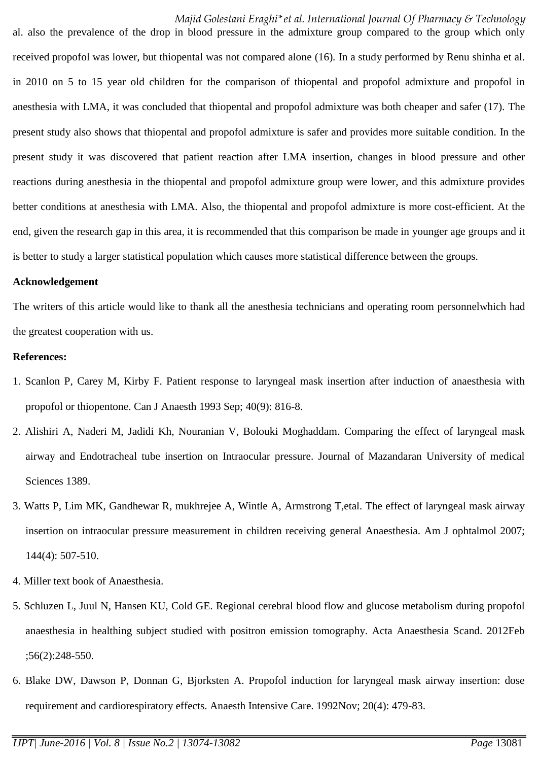#### *Majid Golestani Eraghi\*et al. International Journal Of Pharmacy & Technology*

al. also the prevalence of the drop in blood pressure in the admixture group compared to the group which only received propofol was lower, but thiopental was not compared alone (16). In a study performed by Renu shinha et al. in 2010 on 5 to 15 year old children for the comparison of thiopental and propofol admixture and propofol in anesthesia with LMA, it was concluded that thiopental and propofol admixture was both cheaper and safer (17). The present study also shows that thiopental and propofol admixture is safer and provides more suitable condition. In the present study it was discovered that patient reaction after LMA insertion, changes in blood pressure and other reactions during anesthesia in the thiopental and propofol admixture group were lower, and this admixture provides better conditions at anesthesia with LMA. Also, the thiopental and propofol admixture is more cost-efficient. At the end, given the research gap in this area, it is recommended that this comparison be made in younger age groups and it is better to study a larger statistical population which causes more statistical difference between the groups.

#### **Acknowledgement**

The writers of this article would like to thank all the anesthesia technicians and operating room personnelwhich had the greatest cooperation with us.

#### **References:**

- 1. Scanlon P, Carey M, Kirby F. Patient response to laryngeal mask insertion after induction of anaesthesia with propofol or thiopentone. Can J Anaesth 1993 Sep; 40(9): 816-8.
- 2. Alishiri A, Naderi M, Jadidi Kh, Nouranian V, Bolouki Moghaddam. Comparing the effect of laryngeal mask airway and Endotracheal tube insertion on Intraocular pressure. Journal of Mazandaran University of medical Sciences 1389.
- 3. Watts P, Lim MK, Gandhewar R, mukhrejee A, Wintle A, Armstrong T,etal. The effect of laryngeal mask airway insertion on intraocular pressure measurement in children receiving general Anaesthesia. Am J ophtalmol 2007; 144(4): 507-510.
- 4. Miller text book of Anaesthesia.
- 5. Schluzen L, Juul N, Hansen KU, Cold GE. Regional cerebral blood flow and glucose metabolism during propofol anaesthesia in healthing subject studied with positron emission tomography. Acta Anaesthesia Scand. 2012Feb ;56(2):248-550.
- 6. Blake DW, Dawson P, Donnan G, Bjorksten A. Propofol induction for laryngeal mask airway insertion: dose requirement and cardiorespiratory effects. Anaesth Intensive Care. 1992Nov; 20(4): 479-83.